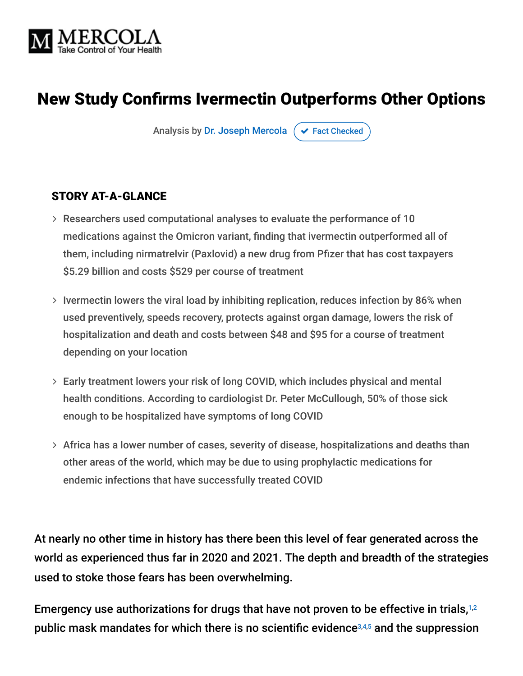

# New Study Confirms Ivermectin Outperforms Other Options

Analysis by [Dr. Joseph Mercola](https://www.mercola.com/forms/background.htm)  $\sigma$  [Fact Checked](javascript:void(0))

#### STORY AT-A-GLANCE

- Researchers used computational analyses to evaluate the performance of 10 medications against the Omicron variant, finding that ivermectin outperformed all of them, including nirmatrelvir (Paxlovid) a new drug from Pfizer that has cost taxpayers \$5.29 billion and costs \$529 per course of treatment
- $>$  Ivermectin lowers the viral load by inhibiting replication, reduces infection by 86% when used preventively, speeds recovery, protects against organ damage, lowers the risk of hospitalization and death and costs between \$48 and \$95 for a course of treatment depending on your location
- Early treatment lowers your risk of long COVID, which includes physical and mental health conditions. According to cardiologist Dr. Peter McCullough, 50% of those sick enough to be hospitalized have symptoms of long COVID
- $>$  Africa has a lower number of cases, severity of disease, hospitalizations and deaths than other areas of the world, which may be due to using prophylactic medications for endemic infections that have successfully treated COVID

At nearly no other time in history has there been this level of fear generated across the world as experienced thus far in 2020 and 2021. The depth and breadth of the strategies used to stoke those fears has been overwhelming.

Emergency use authorizations for drugs that have not proven to be effective in trials,<sup>1,2</sup> public mask mandates for which there is no scientific evidence $^{3,4,5}$  and the suppression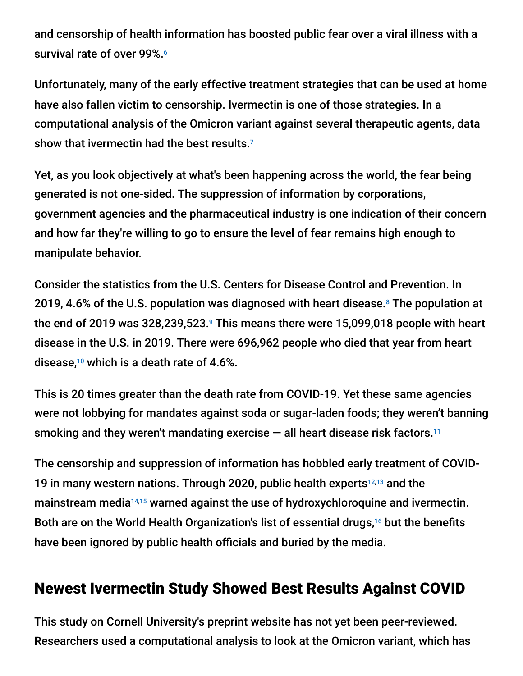and censorship of health information has boosted public fear over a viral illness with a survival rate of over 99%. 6

Unfortunately, many of the early effective treatment strategies that can be used at home have also fallen victim to censorship. Ivermectin is one of those strategies. In a computational analysis of the Omicron variant against several therapeutic agents, data show that ivermectin had the best results. 7

Yet, as you look objectively at what's been happening across the world, the fear being generated is not one-sided. The suppression of information by corporations, government agencies and the pharmaceutical industry is one indication of their concern and how far they're willing to go to ensure the level of fear remains high enough to manipulate behavior.

Consider the statistics from the U.S. Centers for Disease Control and Prevention. In 2019, 4.6% of the U.S. population was diagnosed with heart disease.<sup>8</sup> The population at the end of 2019 was 328,239,523. $9$  This means there were 15,099,018 people with heart disease in the U.S. in 2019. There were 696,962 people who died that year from heart disease, $10$  which is a death rate of 4.6%.

This is 20 times greater than the death rate from COVID-19. Yet these same agencies were not lobbying for mandates against soda or sugar-laden foods; they weren't banning smoking and they weren't mandating exercise — all heart disease risk factors. 11

The censorship and suppression of information has hobbled early treatment of COVID-19 in many western nations. Through 2020, public health experts $^{12,13}$  and the mainstream media<sup>14,15</sup> warned against the use of hydroxychloroquine and ivermectin. Both are on the World Health Organization's list of essential drugs,<sup>16</sup> but the benefits have been ignored by public health officials and buried by the media.

## Newest Ivermectin Study Showed Best Results Against COVID

This study on Cornell University's preprint website has not yet been peer-reviewed. Researchers used a computational analysis to look at the Omicron variant, which has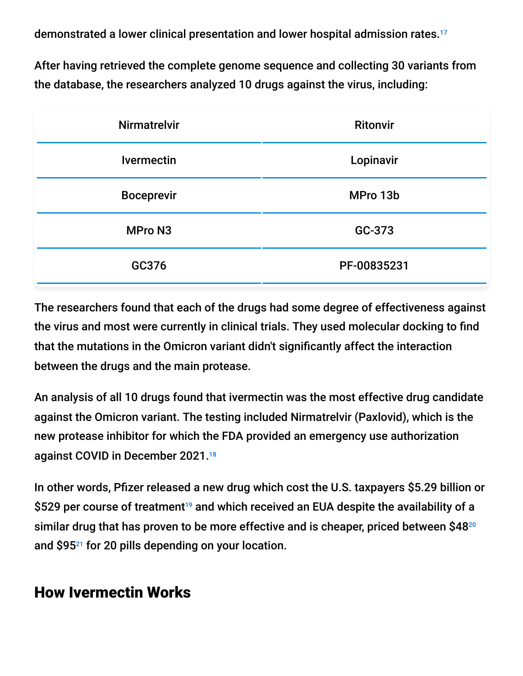demonstrated a lower clinical presentation and lower hospital admission rates. 17

After having retrieved the complete genome sequence and collecting 30 variants from the database, the researchers analyzed 10 drugs against the virus, including:

| <b>Nirmatrelvir</b> | <b>Ritonvir</b> |
|---------------------|-----------------|
| <b>Ivermectin</b>   | Lopinavir       |
| <b>Boceprevir</b>   | MPro 13b        |
| <b>MPro N3</b>      | GC-373          |
| GC376               | PF-00835231     |

The researchers found that each of the drugs had some degree of effectiveness against the virus and most were currently in clinical trials. They used molecular docking to find that the mutations in the Omicron variant didn't significantly affect the interaction between the drugs and the main protease.

An analysis of all 10 drugs found that ivermectin was the most effective drug candidate against the Omicron variant. The testing included Nirmatrelvir (Paxlovid), which is the new protease inhibitor for which the FDA provided an emergency use authorization against COVID in December 2021. 18

In other words, Pfizer released a new drug which cost the U.S. taxpayers \$5.29 billion or \$529 per course of treatment<sup>19</sup> and which received an EUA despite the availability of a similar drug that has proven to be more effective and is cheaper, priced between \$48 20 and \$95 $^{21}$  for 20 pills depending on your location.

### How Ivermectin Works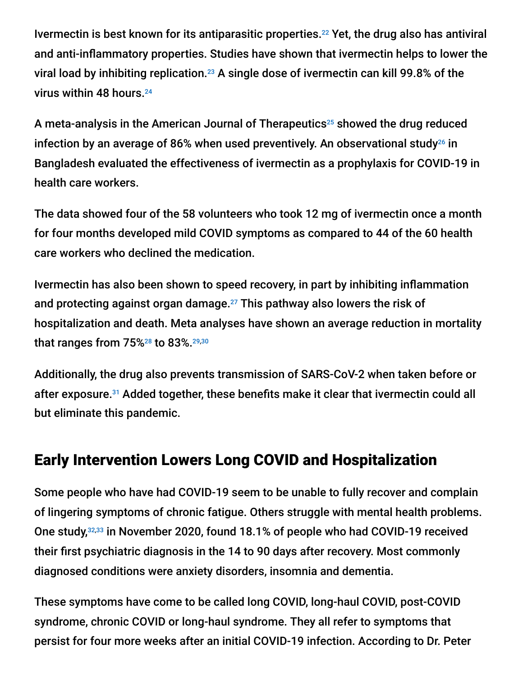Ivermectin is best known for its antiparasitic properties.<sup>22</sup> Yet, the drug also has antiviral and anti-inflammatory properties. Studies have shown that ivermectin helps to lower the viral load by inhibiting replication.<sup>23</sup> A single dose of ivermectin can kill 99.8% of the virus within 48 hours. 24

A meta-analysis in the American Journal of Therapeutics<sup>25</sup> showed the drug reduced infection by an average of 86% when used preventively. An observational study<sup>26</sup> in Bangladesh evaluated the effectiveness of ivermectin as a prophylaxis for COVID-19 in health care workers.

The data showed four of the 58 volunteers who took 12 mg of ivermectin once a month for four months developed mild COVID symptoms as compared to 44 of the 60 health care workers who declined the medication.

Ivermectin has also been shown to speed recovery, in part by inhibiting inflammation and protecting against organ damage. $^{27}$  This pathway also lowers the risk of hospitalization and death. Meta analyses have shown an average reduction in mortality that ranges from 75%28 to 83%.<sup>29,30</sup>

Additionally, the drug also prevents transmission of SARS-CoV-2 when taken before or after exposure.<sup>31</sup> Added together, these benefits make it clear that ivermectin could all but eliminate this pandemic.

# Early Intervention Lowers Long COVID and Hospitalization

Some people who have had COVID-19 seem to be unable to fully recover and complain of lingering symptoms of chronic fatigue. Others struggle with mental health problems. One study,<sup>32,33</sup> in November 2020, found 18.1% of people who had COVID-19 received their first psychiatric diagnosis in the 14 to 90 days after recovery. Most commonly diagnosed conditions were anxiety disorders, insomnia and dementia.

These symptoms have come to be called long COVID, long-haul COVID, post-COVID syndrome, chronic COVID or long-haul syndrome. They all refer to symptoms that persist for four more weeks after an initial COVID-19 infection. According to Dr. Peter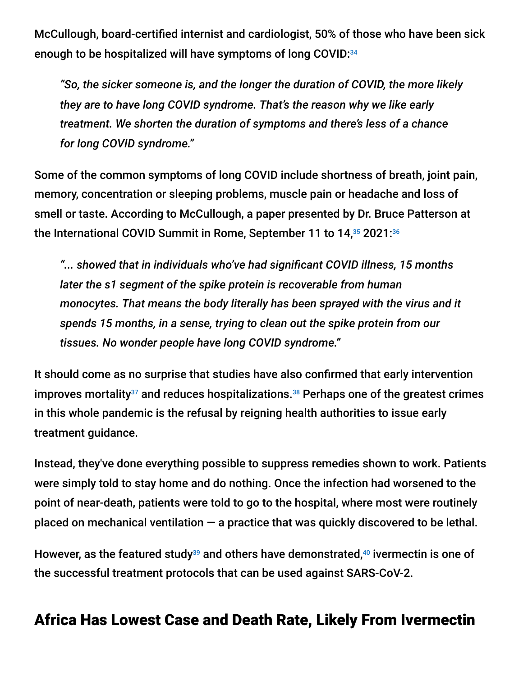McCullough, board-certified internist and cardiologist, 50% of those who have been sick enough to be hospitalized will have symptoms of long COVID: 34

*"So, the sicker someone is, and the longer the duration of COVID, the more likely they are to have long COVID syndrome. That's the reason why we like early treatment. We shorten the duration of symptoms and there's less of a chance for long COVID syndrome."*

Some of the common symptoms of long COVID include shortness of breath, joint pain, memory, concentration or sleeping problems, muscle pain or headache and loss of smell or taste. According to McCullough, a paper presented by Dr. Bruce Patterson at the International COVID Summit in Rome, September 11 to  $14,35$  2021: $36$ 

*"... showed that in individuals who've had significant COVID illness, 15 months later the s1 segment of the spike protein is recoverable from human monocytes. That means the body literally has been sprayed with the virus and it spends 15 months, in a sense, trying to clean out the spike protein from our tissues. No wonder people have long COVID syndrome."*

It should come as no surprise that studies have also confirmed that early intervention improves mortality $37$  and reduces hospitalizations. $38$  Perhaps one of the greatest crimes in this whole pandemic is the refusal by reigning health authorities to issue early treatment guidance.

Instead, they've done everything possible to suppress remedies shown to work. Patients were simply told to stay home and do nothing. Once the infection had worsened to the point of near-death, patients were told to go to the hospital, where most were routinely placed on mechanical ventilation  $-$  a practice that was quickly discovered to be lethal.

However, as the featured study $^{39}$  and others have demonstrated, $^{40}$  ivermectin is one of the successful treatment protocols that can be used against SARS-CoV-2.

### Africa Has Lowest Case and Death Rate, Likely From Ivermectin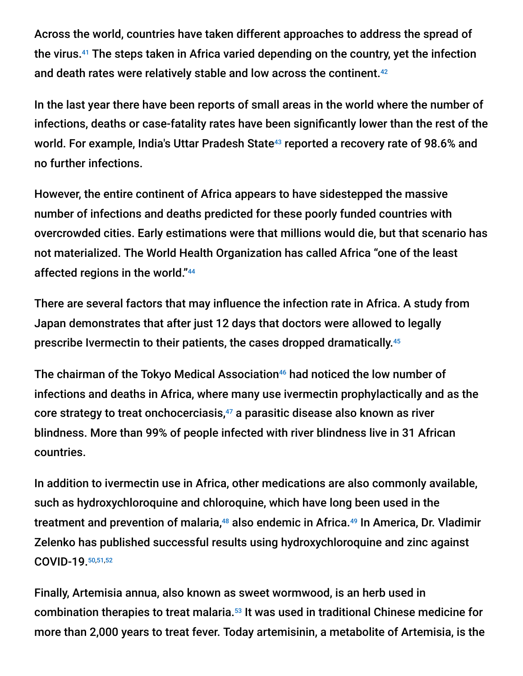Across the world, countries have taken different approaches to address the spread of the virus.<sup>41</sup> The steps taken in Africa varied depending on the country, yet the infection and death rates were relatively stable and low across the continent. 42

In the last year there have been reports of small areas in the world where the number of infections, deaths or case-fatality rates have been significantly lower than the rest of the world. For example, India's Uttar Pradesh State<sup>43</sup> reported a recovery rate of 98.6% and no further infections.

However, the entire continent of Africa appears to have sidestepped the massive number of infections and deaths predicted for these poorly funded countries with overcrowded cities. Early estimations were that millions would die, but that scenario has not materialized. The World Health Organization has called Africa "one of the least affected regions in the world." 44

There are several factors that may influence the infection rate in Africa. A study from Japan demonstrates that after just 12 days that doctors were allowed to legally prescribe Ivermectin to their patients, the cases dropped dramatically. 45

The chairman of the Tokyo Medical Association $46$  had noticed the low number of infections and deaths in Africa, where many use ivermectin prophylactically and as the core strategy to treat onchocerciasis, $47$  a parasitic disease also known as river blindness. More than 99% of people infected with river blindness live in 31 African countries.

In addition to ivermectin use in Africa, other medications are also commonly available, such as hydroxychloroquine and chloroquine, which have long been used in the treatment and prevention of malaria,<sup>48</sup> also endemic in Africa.<sup>49</sup> In America, Dr. Vladimir Zelenko has published successful results using hydroxychloroquine and zinc against COVID-19. 50,51,52

Finally, Artemisia annua, also known as sweet wormwood, is an herb used in combination therapies to treat malaria.<sup>53</sup> It was used in traditional Chinese medicine for more than 2,000 years to treat fever. Today artemisinin, a metabolite of Artemisia, is the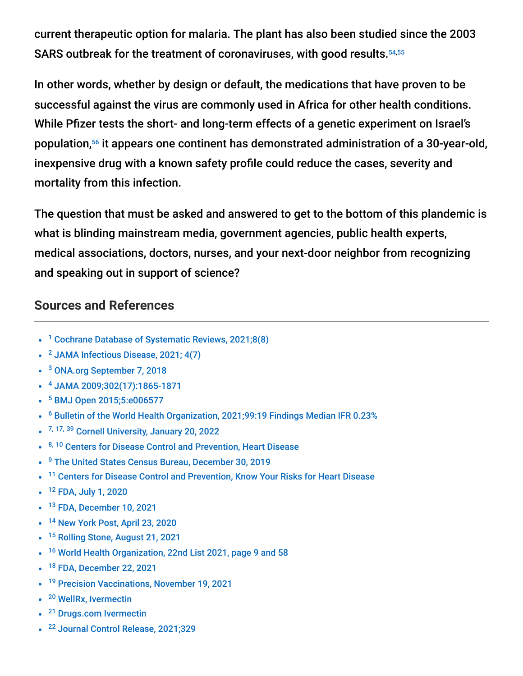current therapeutic option for malaria. The plant has also been studied since the 2003 SARS outbreak for the treatment of coronaviruses, with good results. 54,55

In other words, whether by design or default, the medications that have proven to be successful against the virus are commonly used in Africa for other health conditions. While Pfizer tests the short- and long-term effects of a genetic experiment on Israel's population,<sup>56</sup> it appears one continent has demonstrated administration of a 30-year-old, inexpensive drug with a known safety profile could reduce the cases, severity and mortality from this infection.

The question that must be asked and answered to get to the bottom of this plandemic is what is blinding mainstream media, government agencies, public health experts, medical associations, doctors, nurses, and your next-door neighbor from recognizing and speaking out in support of science?

#### **Sources and References**

- <sup>1</sup> [Cochrane Database of Systematic Reviews, 2021;8\(8\)](https://pubmed.ncbi.nlm.nih.gov/34350582/)
- <sup>2</sup> [JAMA Infectious Disease, 2021; 4\(7\)](https://jamanetwork.com/journals/jamanetworkopen/fullarticle/2781959)
- <sup>3</sup> [ONA.org September 7, 2018](https://web.archive.org/web/20210326171505/https:/www.ona.org/news-posts/ona-wins-vaccinate-or-mask-flu-policy/)
- [JAMA 2009;302\(17\):1865-1871](https://jamanetwork.com/journals/jama/fullarticle/184819) 4
- <sup>5</sup> [BMJ Open 2015;5:e006577](https://bmjopen.bmj.com/content/5/4/e006577)
- $6$  [Bulletin of the World Health Organization, 2021;99:19 Findings Median IFR 0.23%](https://www.ncbi.nlm.nih.gov/labs/pmc/articles/PMC7947934/)
- <sup>7, 17, 39</sup> [Cornell University, January 20, 2022](https://arxiv.org/abs/2201.08176v1)
- 8, 10 [Centers for Disease Control and Prevention, Heart Disease](https://www.cdc.gov/nchs/fastats/heart-disease.htm)
- <sup>9</sup> [The United States Census Bureau, December 30, 2019](https://www.census.gov/newsroom/press-releases/2019/popest-nation.html)
- <sup>11</sup> [Centers for Disease Control and Prevention, Know Your Risks for Heart Disease](https://www.cdc.gov/heartdisease/risk_factors.htm)
- <sup>12</sup> [FDA, July 1, 2020](https://www.fda.gov/drugs/drug-safety-and-availability/fda-cautions-against-use-hydroxychloroquine-or-chloroquine-covid-19-outside-hospital-setting-or)
- <sup>13</sup> [FDA, December 10, 2021](https://www.fda.gov/consumers/consumer-updates/why-you-should-not-use-ivermectin-treat-or-prevent-covid-19)
- <sup>14</sup> [New York Post, April 23, 2020](https://nypost.com/2020/04/23/hydroxychloroquine-had-no-effect-on-seriously-ill-in-new-york-study/)
- <sup>15</sup> [Rolling Stone, August 21, 2021](https://www.rollingstone.com/politics/politics-news/fda-horse-dewormer-covid-fox-news-1215168/)
- <sup>16</sup> [World Health Organization, 22nd List 2021, page 9 and 58](https://www.who.int/publications/i/item/WHO-MHP-HPS-EML-2021.02)
- <sup>18</sup> [FDA, December 22, 2021](https://www.fda.gov/news-events/press-announcements/coronavirus-covid-19-update-fda-authorizes-first-oral-antiviral-treatment-covid-19)
- <sup>19</sup> [Precision Vaccinations, November 19, 2021](https://www.precisionvaccinations.com/2021/11/18/pfizers-covid-19-oral-antiviral-cost-529-course)
- <sup>20</sup> [WellRx, Ivermectin](https://www.wellrx.com/prescriptions/ivermectin/)
- <sup>21</sup> [Drugs.com Ivermectin](https://www.drugs.com/price-guide/ivermectin)
- <sup>22</sup> [Journal Control Release, 2021;329](https://www.ncbi.nlm.nih.gov/labs/pmc/articles/PMC7539925/)